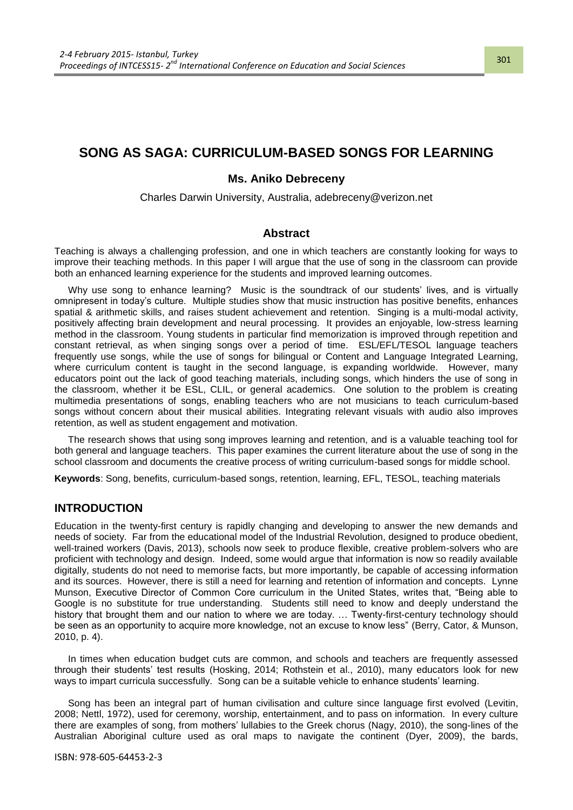# **SONG AS SAGA: CURRICULUM-BASED SONGS FOR LEARNING**

#### **Ms. Aniko Debreceny**

Charles Darwin University, Australia, adebreceny@verizon.net

#### **Abstract**

Teaching is always a challenging profession, and one in which teachers are constantly looking for ways to improve their teaching methods. In this paper I will argue that the use of song in the classroom can provide both an enhanced learning experience for the students and improved learning outcomes.

Why use song to enhance learning? Music is the soundtrack of our students' lives, and is virtually omnipresent in today"s culture. Multiple studies show that music instruction has positive benefits, enhances spatial & arithmetic skills, and raises student achievement and retention. Singing is a multi-modal activity, positively affecting brain development and neural processing. It provides an enjoyable, low-stress learning method in the classroom. Young students in particular find memorization is improved through repetition and constant retrieval, as when singing songs over a period of time. ESL/EFL/TESOL language teachers frequently use songs, while the use of songs for bilingual or Content and Language Integrated Learning, where curriculum content is taught in the second language, is expanding worldwide. However, many educators point out the lack of good teaching materials, including songs, which hinders the use of song in the classroom, whether it be ESL, CLIL, or general academics. One solution to the problem is creating multimedia presentations of songs, enabling teachers who are not musicians to teach curriculum-based songs without concern about their musical abilities. Integrating relevant visuals with audio also improves retention, as well as student engagement and motivation.

The research shows that using song improves learning and retention, and is a valuable teaching tool for both general and language teachers. This paper examines the current literature about the use of song in the school classroom and documents the creative process of writing curriculum-based songs for middle school.

**Keywords**: Song, benefits, curriculum-based songs, retention, learning, EFL, TESOL, teaching materials

## **INTRODUCTION**

Education in the twenty-first century is rapidly changing and developing to answer the new demands and needs of society. Far from the educational model of the Industrial Revolution, designed to produce obedient, well-trained workers (Davis, 2013), schools now seek to produce flexible, creative problem-solvers who are proficient with technology and design. Indeed, some would argue that information is now so readily available digitally, students do not need to memorise facts, but more importantly, be capable of accessing information and its sources. However, there is still a need for learning and retention of information and concepts. Lynne Munson, Executive Director of Common Core curriculum in the United States, writes that, "Being able to Google is no substitute for true understanding. Students still need to know and deeply understand the history that brought them and our nation to where we are today. … Twenty-first-century technology should be seen as an opportunity to acquire more knowledge, not an excuse to know less" (Berry, Cator, & Munson, 2010, p. 4).

In times when education budget cuts are common, and schools and teachers are frequently assessed through their students" test results (Hosking, 2014; Rothstein et al., 2010), many educators look for new ways to impart curricula successfully. Song can be a suitable vehicle to enhance students" learning.

Song has been an integral part of human civilisation and culture since language first evolved (Levitin, 2008; Nettl, 1972), used for ceremony, worship, entertainment, and to pass on information. In every culture there are examples of song, from mothers" lullabies to the Greek chorus (Nagy, 2010), the song-lines of the Australian Aboriginal culture used as oral maps to navigate the continent (Dyer, 2009), the bards,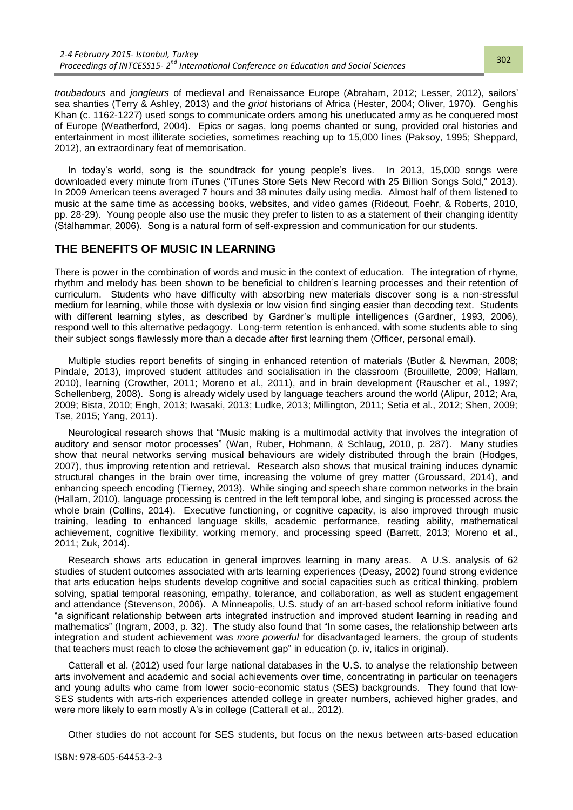*troubadours* and *jongleurs* of medieval and Renaissance Europe (Abraham, 2012; Lesser, 2012), sailors" sea shanties (Terry & Ashley, 2013) and the *griot* historians of Africa (Hester, 2004; Oliver, 1970). Genghis Khan (c. 1162-1227) used songs to communicate orders among his uneducated army as he conquered most of Europe (Weatherford, 2004). Epics or sagas, long poems chanted or sung, provided oral histories and entertainment in most illiterate societies, sometimes reaching up to 15,000 lines (Paksoy, 1995; Sheppard, 2012), an extraordinary feat of memorisation.

In today's world, song is the soundtrack for young people's lives. In 2013, 15,000 songs were downloaded every minute from iTunes ("iTunes Store Sets New Record with 25 Billion Songs Sold," 2013). In 2009 American teens averaged 7 hours and 38 minutes daily using media. Almost half of them listened to music at the same time as accessing books, websites, and video games (Rideout, Foehr, & Roberts, 2010, pp. 28-29). Young people also use the music they prefer to listen to as a statement of their changing identity (Stålhammar, 2006). Song is a natural form of self-expression and communication for our students.

## **THE BENEFITS OF MUSIC IN LEARNING**

There is power in the combination of words and music in the context of education. The integration of rhyme, rhythm and melody has been shown to be beneficial to children"s learning processes and their retention of curriculum. Students who have difficulty with absorbing new materials discover song is a non-stressful medium for learning, while those with dyslexia or low vision find singing easier than decoding text. Students with different learning styles, as described by Gardner's multiple intelligences (Gardner, 1993, 2006), respond well to this alternative pedagogy. Long-term retention is enhanced, with some students able to sing their subject songs flawlessly more than a decade after first learning them (Officer, personal email).

Multiple studies report benefits of singing in enhanced retention of materials (Butler & Newman, 2008; Pindale, 2013), improved student attitudes and socialisation in the classroom (Brouillette, 2009; Hallam, 2010), learning (Crowther, 2011; Moreno et al., 2011), and in brain development (Rauscher et al., 1997; Schellenberg, 2008). Song is already widely used by language teachers around the world (Alipur, 2012; Ara, 2009; Bista, 2010; Engh, 2013; Iwasaki, 2013; Ludke, 2013; Millington, 2011; Setia et al., 2012; Shen, 2009; Tse, 2015; Yang, 2011).

Neurological research shows that "Music making is a multimodal activity that involves the integration of auditory and sensor motor processes" (Wan, Ruber, Hohmann, & Schlaug, 2010, p. 287). Many studies show that neural networks serving musical behaviours are widely distributed through the brain (Hodges, 2007), thus improving retention and retrieval. Research also shows that musical training induces dynamic structural changes in the brain over time, increasing the volume of grey matter (Groussard, 2014), and enhancing speech encoding (Tierney, 2013). While singing and speech share common networks in the brain (Hallam, 2010), language processing is centred in the left temporal lobe, and singing is processed across the whole brain (Collins, 2014). Executive functioning, or cognitive capacity, is also improved through music training, leading to enhanced language skills, academic performance, reading ability, mathematical achievement, cognitive flexibility, working memory, and processing speed (Barrett, 2013; Moreno et al., 2011; Zuk, 2014).

Research shows arts education in general improves learning in many areas. A U.S. analysis of 62 studies of student outcomes associated with arts learning experiences (Deasy, 2002) found strong evidence that arts education helps students develop cognitive and social capacities such as critical thinking, problem solving, spatial temporal reasoning, empathy, tolerance, and collaboration, as well as student engagement and attendance (Stevenson, 2006). A Minneapolis, U.S. study of an art-based school reform initiative found "a significant relationship between arts integrated instruction and improved student learning in reading and mathematics" (Ingram, 2003, p. 32). The study also found that "In some cases, the relationship between arts integration and student achievement was *more powerful* for disadvantaged learners, the group of students that teachers must reach to close the achievement gap" in education (p. iv, italics in original).

Catterall et al. (2012) used four large national databases in the U.S. to analyse the relationship between arts involvement and academic and social achievements over time, concentrating in particular on teenagers and young adults who came from lower socio-economic status (SES) backgrounds. They found that low-SES students with arts-rich experiences attended college in greater numbers, achieved higher grades, and were more likely to earn mostly A's in college (Catterall et al., 2012).

Other studies do not account for SES students, but focus on the nexus between arts-based education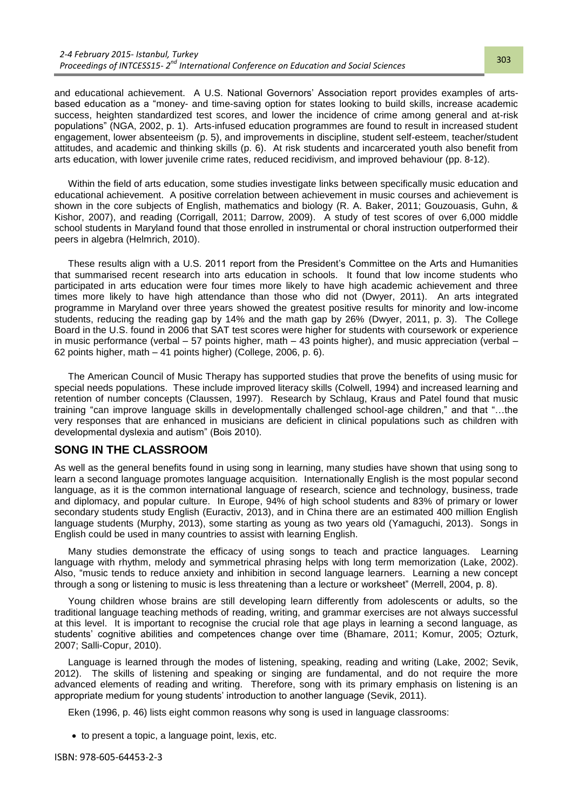and educational achievement. A U.S. National Governors" Association report provides examples of artsbased education as a "money- and time-saving option for states looking to build skills, increase academic success, heighten standardized test scores, and lower the incidence of crime among general and at-risk populations" (NGA, 2002, p. 1). Arts-infused education programmes are found to result in increased student engagement, lower absenteeism (p. 5), and improvements in discipline, student self-esteem, teacher/student attitudes, and academic and thinking skills (p. 6). At risk students and incarcerated youth also benefit from arts education, with lower juvenile crime rates, reduced recidivism, and improved behaviour (pp. 8-12).

Within the field of arts education, some studies investigate links between specifically music education and educational achievement. A positive correlation between achievement in music courses and achievement is shown in the core subjects of English, mathematics and biology (R. A. Baker, 2011; Gouzouasis, Guhn, & Kishor, 2007), and reading (Corrigall, 2011; Darrow, 2009). A study of test scores of over 6,000 middle school students in Maryland found that those enrolled in instrumental or choral instruction outperformed their peers in algebra (Helmrich, 2010).

These results align with a U.S. 2011 report from the President's Committee on the Arts and Humanities that summarised recent research into arts education in schools. It found that low income students who participated in arts education were four times more likely to have high academic achievement and three times more likely to have high attendance than those who did not (Dwyer, 2011). An arts integrated programme in Maryland over three years showed the greatest positive results for minority and low-income students, reducing the reading gap by 14% and the math gap by 26% (Dwyer, 2011, p. 3). The College Board in the U.S. found in 2006 that SAT test scores were higher for students with coursework or experience in music performance (verbal – 57 points higher, math – 43 points higher), and music appreciation (verbal – 62 points higher, math – 41 points higher) (College, 2006, p. 6).

The American Council of Music Therapy has supported studies that prove the benefits of using music for special needs populations. These include improved literacy skills (Colwell, 1994) and increased learning and retention of number concepts (Claussen, 1997). Research by Schlaug, Kraus and Patel found that music training "can improve language skills in developmentally challenged school-age children," and that "…the very responses that are enhanced in musicians are deficient in clinical populations such as children with developmental dyslexia and autism" (Bois 2010).

## **SONG IN THE CLASSROOM**

As well as the general benefits found in using song in learning, many studies have shown that using song to learn a second language promotes language acquisition. Internationally English is the most popular second language, as it is the common international language of research, science and technology, business, trade and diplomacy, and popular culture. In Europe, 94% of high school students and 83% of primary or lower secondary students study English (Euractiv, 2013), and in China there are an estimated 400 million English language students (Murphy, 2013), some starting as young as two years old (Yamaguchi, 2013). Songs in English could be used in many countries to assist with learning English.

Many studies demonstrate the efficacy of using songs to teach and practice languages. Learning language with rhythm, melody and symmetrical phrasing helps with long term memorization (Lake, 2002). Also, "music tends to reduce anxiety and inhibition in second language learners. Learning a new concept through a song or listening to music is less threatening than a lecture or worksheet" (Merrell, 2004, p. 8).

Young children whose brains are still developing learn differently from adolescents or adults, so the traditional language teaching methods of reading, writing, and grammar exercises are not always successful at this level. It is important to recognise the crucial role that age plays in learning a second language, as students" cognitive abilities and competences change over time (Bhamare, 2011; Komur, 2005; Ozturk, 2007; Salli-Copur, 2010).

Language is learned through the modes of listening, speaking, reading and writing (Lake, 2002; Sevik, 2012). The skills of listening and speaking or singing are fundamental, and do not require the more advanced elements of reading and writing. Therefore, song with its primary emphasis on listening is an appropriate medium for young students" introduction to another language (Sevik, 2011).

Eken (1996, p. 46) lists eight common reasons why song is used in language classrooms:

• to present a topic, a language point, lexis, etc.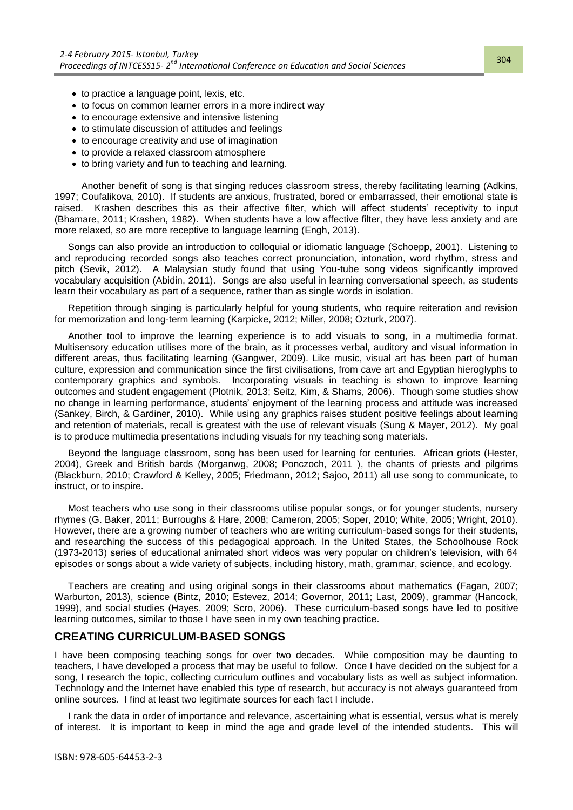- to practice a language point, lexis, etc.
- to focus on common learner errors in a more indirect way
- to encourage extensive and intensive listening
- to stimulate discussion of attitudes and feelings
- to encourage creativity and use of imagination
- to provide a relaxed classroom atmosphere
- to bring variety and fun to teaching and learning.

Another benefit of song is that singing reduces classroom stress, thereby facilitating learning (Adkins, 1997; Coufalikova, 2010). If students are anxious, frustrated, bored or embarrassed, their emotional state is raised. Krashen describes this as their affective filter, which will affect students" receptivity to input (Bhamare, 2011; Krashen, 1982). When students have a low affective filter, they have less anxiety and are more relaxed, so are more receptive to language learning (Engh, 2013).

Songs can also provide an introduction to colloquial or idiomatic language (Schoepp, 2001). Listening to and reproducing recorded songs also teaches correct pronunciation, intonation, word rhythm, stress and pitch (Sevik, 2012). A Malaysian study found that using You-tube song videos significantly improved vocabulary acquisition (Abidin, 2011). Songs are also useful in learning conversational speech, as students learn their vocabulary as part of a sequence, rather than as single words in isolation.

Repetition through singing is particularly helpful for young students, who require reiteration and revision for memorization and long-term learning (Karpicke, 2012; Miller, 2008; Ozturk, 2007).

Another tool to improve the learning experience is to add visuals to song, in a multimedia format. Multisensory education utilises more of the brain, as it processes verbal, auditory and visual information in different areas, thus facilitating learning (Gangwer, 2009). Like music, visual art has been part of human culture, expression and communication since the first civilisations, from cave art and Egyptian hieroglyphs to contemporary graphics and symbols. Incorporating visuals in teaching is shown to improve learning outcomes and student engagement (Plotnik, 2013; Seitz, Kim, & Shams, 2006). Though some studies show no change in learning performance, students' enjoyment of the learning process and attitude was increased (Sankey, Birch, & Gardiner, 2010). While using any graphics raises student positive feelings about learning and retention of materials, recall is greatest with the use of relevant visuals (Sung & Mayer, 2012). My goal is to produce multimedia presentations including visuals for my teaching song materials.

Beyond the language classroom, song has been used for learning for centuries. African griots (Hester, 2004), Greek and British bards (Morganwg, 2008; Ponczoch, 2011 ), the chants of priests and pilgrims (Blackburn, 2010; Crawford & Kelley, 2005; Friedmann, 2012; Sajoo, 2011) all use song to communicate, to instruct, or to inspire.

Most teachers who use song in their classrooms utilise popular songs, or for younger students, nursery rhymes (G. Baker, 2011; Burroughs & Hare, 2008; Cameron, 2005; Soper, 2010; White, 2005; Wright, 2010). However, there are a growing number of teachers who are writing curriculum-based songs for their students, and researching the success of this pedagogical approach. In the United States, the Schoolhouse Rock (1973-2013) series of educational animated short videos was very popular on children"s television, with 64 episodes or songs about a wide variety of subjects, including history, math, grammar, science, and ecology.

Teachers are creating and using original songs in their classrooms about mathematics (Fagan, 2007; Warburton, 2013), science (Bintz, 2010; Estevez, 2014; Governor, 2011; Last, 2009), grammar (Hancock, 1999), and social studies (Hayes, 2009; Scro, 2006). These curriculum-based songs have led to positive learning outcomes, similar to those I have seen in my own teaching practice.

## **CREATING CURRICULUM-BASED SONGS**

I have been composing teaching songs for over two decades. While composition may be daunting to teachers, I have developed a process that may be useful to follow. Once I have decided on the subject for a song, I research the topic, collecting curriculum outlines and vocabulary lists as well as subject information. Technology and the Internet have enabled this type of research, but accuracy is not always guaranteed from online sources. I find at least two legitimate sources for each fact I include.

I rank the data in order of importance and relevance, ascertaining what is essential, versus what is merely of interest. It is important to keep in mind the age and grade level of the intended students. This will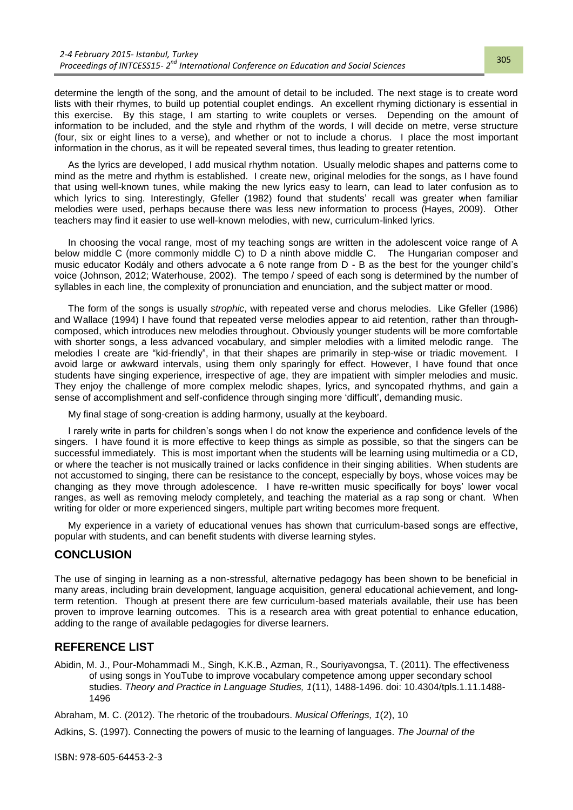determine the length of the song, and the amount of detail to be included. The next stage is to create word lists with their rhymes, to build up potential couplet endings. An excellent rhyming dictionary is essential in this exercise. By this stage, I am starting to write couplets or verses. Depending on the amount of information to be included, and the style and rhythm of the words, I will decide on metre, verse structure (four, six or eight lines to a verse), and whether or not to include a chorus. I place the most important information in the chorus, as it will be repeated several times, thus leading to greater retention.

As the lyrics are developed, I add musical rhythm notation. Usually melodic shapes and patterns come to mind as the metre and rhythm is established. I create new, original melodies for the songs, as I have found that using well-known tunes, while making the new lyrics easy to learn, can lead to later confusion as to which lyrics to sing. Interestingly, Gfeller (1982) found that students' recall was greater when familiar melodies were used, perhaps because there was less new information to process (Hayes, 2009). Other teachers may find it easier to use well-known melodies, with new, curriculum-linked lyrics.

In choosing the vocal range, most of my teaching songs are written in the adolescent voice range of A below middle C (more commonly middle C) to D a ninth above middle C. The Hungarian composer and music educator Kodály and others advocate a 6 note range from D - B as the best for the younger child"s voice (Johnson, 2012; Waterhouse, 2002). The tempo / speed of each song is determined by the number of syllables in each line, the complexity of pronunciation and enunciation, and the subject matter or mood.

The form of the songs is usually *strophic*, with repeated verse and chorus melodies. Like Gfeller (1986) and Wallace (1994) I have found that repeated verse melodies appear to aid retention, rather than throughcomposed, which introduces new melodies throughout. Obviously younger students will be more comfortable with shorter songs, a less advanced vocabulary, and simpler melodies with a limited melodic range. The melodies I create are "kid-friendly", in that their shapes are primarily in step-wise or triadic movement. I avoid large or awkward intervals, using them only sparingly for effect. However, I have found that once students have singing experience, irrespective of age, they are impatient with simpler melodies and music. They enjoy the challenge of more complex melodic shapes, lyrics, and syncopated rhythms, and gain a sense of accomplishment and self-confidence through singing more "difficult", demanding music.

My final stage of song-creation is adding harmony, usually at the keyboard.

I rarely write in parts for children"s songs when I do not know the experience and confidence levels of the singers. I have found it is more effective to keep things as simple as possible, so that the singers can be successful immediately. This is most important when the students will be learning using multimedia or a CD, or where the teacher is not musically trained or lacks confidence in their singing abilities. When students are not accustomed to singing, there can be resistance to the concept, especially by boys, whose voices may be changing as they move through adolescence. I have re-written music specifically for boys" lower vocal ranges, as well as removing melody completely, and teaching the material as a rap song or chant. When writing for older or more experienced singers, multiple part writing becomes more frequent.

My experience in a variety of educational venues has shown that curriculum-based songs are effective, popular with students, and can benefit students with diverse learning styles.

## **CONCLUSION**

The use of singing in learning as a non-stressful, alternative pedagogy has been shown to be beneficial in many areas, including brain development, language acquisition, general educational achievement, and longterm retention. Though at present there are few curriculum-based materials available, their use has been proven to improve learning outcomes. This is a research area with great potential to enhance education, adding to the range of available pedagogies for diverse learners.

## **REFERENCE LIST**

Abidin, M. J., Pour-Mohammadi M., Singh, K.K.B., Azman, R., Souriyavongsa, T. (2011). The effectiveness of using songs in YouTube to improve vocabulary competence among upper secondary school studies. *Theory and Practice in Language Studies, 1*(11), 1488-1496. doi: 10.4304/tpls.1.11.1488- 1496

Abraham, M. C. (2012). The rhetoric of the troubadours. *Musical Offerings, 1*(2), 10

Adkins, S. (1997). Connecting the powers of music to the learning of languages. *The Journal of the*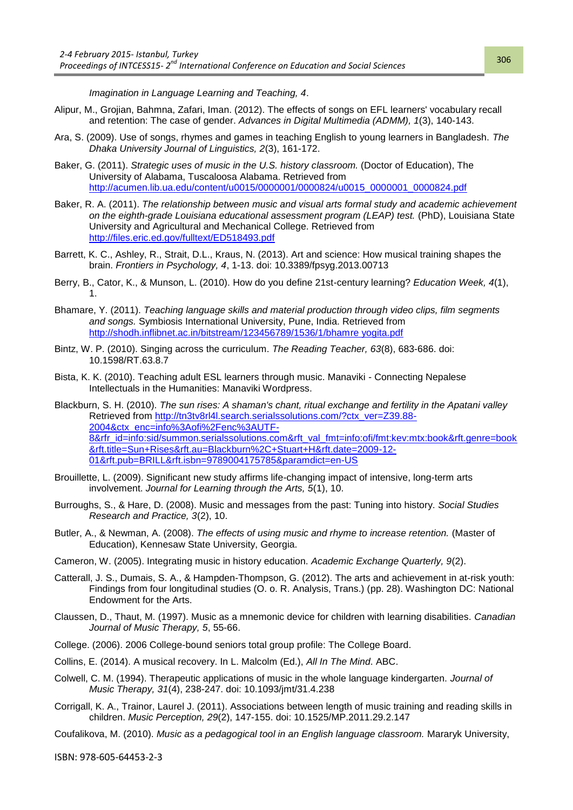*Imagination in Language Learning and Teaching, 4*.

- Alipur, M., Grojian, Bahmna, Zafari, Iman. (2012). The effects of songs on EFL learners' vocabulary recall and retention: The case of gender. *Advances in Digital Multimedia (ADMM), 1*(3), 140-143.
- Ara, S. (2009). Use of songs, rhymes and games in teaching English to young learners in Bangladesh. *The Dhaka University Journal of Linguistics, 2*(3), 161-172.
- Baker, G. (2011). *Strategic uses of music in the U.S. history classroom.* (Doctor of Education), The University of Alabama, Tuscaloosa Alabama. Retrieved from [http://acumen.lib.ua.edu/content/u0015/0000001/0000824/u0015\\_0000001\\_0000824.pdf](http://acumen.lib.ua.edu/content/u0015/0000001/0000824/u0015_0000001_0000824.pdf)
- Baker, R. A. (2011). *The relationship between music and visual arts formal study and academic achievement on the eighth-grade Louisiana educational assessment program (LEAP) test.* (PhD), Louisiana State University and Agricultural and Mechanical College. Retrieved from <http://files.eric.ed.gov/fulltext/ED518493.pdf>
- Barrett, K. C., Ashley, R., Strait, D.L., Kraus, N. (2013). Art and science: How musical training shapes the brain. *Frontiers in Psychology, 4*, 1-13. doi: 10.3389/fpsyg.2013.00713
- Berry, B., Cator, K., & Munson, L. (2010). How do you define 21st-century learning? *Education Week, 4*(1), 1.
- Bhamare, Y. (2011). *Teaching language skills and material production through video clips, film segments and songs.* Symbiosis International University, Pune, India. Retrieved from [http://shodh.inflibnet.ac.in/bitstream/123456789/1536/1/bhamre yogita.pdf](http://shodh.inflibnet.ac.in/bitstream/123456789/1536/1/bhamre%20yogita.pdf)
- Bintz, W. P. (2010). Singing across the curriculum. *The Reading Teacher, 63*(8), 683-686. doi: 10.1598/RT.63.8.7
- Bista, K. K. (2010). Teaching adult ESL learners through music. Manaviki Connecting Nepalese Intellectuals in the Humanities: Manaviki Wordpress.
- Blackburn, S. H. (2010). *The sun rises: A shaman's chant, ritual exchange and fertility in the Apatani valley*  Retrieved from [http://tn3tv8rl4l.search.serialssolutions.com/?ctx\\_ver=Z39.88-](http://tn3tv8rl4l.search.serialssolutions.com/?ctx_ver=Z39.88-2004&ctx_enc=info%3Aofi%2Fenc%3AUTF-8&rfr_id=info:sid/summon.serialssolutions.com&rft_val_fmt=info:ofi/fmt:kev:mtx:book&rft.genre=book&rft.title=Sun+Rises&rft.au=Blackburn%2C+Stuart+H&rft.date=2009-12-01&rft.pub=BRILL&rft.isbn=9789004175785¶mdict=en-US) [2004&ctx\\_enc=info%3Aofi%2Fenc%3AUTF-](http://tn3tv8rl4l.search.serialssolutions.com/?ctx_ver=Z39.88-2004&ctx_enc=info%3Aofi%2Fenc%3AUTF-8&rfr_id=info:sid/summon.serialssolutions.com&rft_val_fmt=info:ofi/fmt:kev:mtx:book&rft.genre=book&rft.title=Sun+Rises&rft.au=Blackburn%2C+Stuart+H&rft.date=2009-12-01&rft.pub=BRILL&rft.isbn=9789004175785¶mdict=en-US)[8&rfr\\_id=info:sid/summon.serialssolutions.com&rft\\_val\\_fmt=info:ofi/fmt:kev:mtx:book&rft.genre=book](http://tn3tv8rl4l.search.serialssolutions.com/?ctx_ver=Z39.88-2004&ctx_enc=info%3Aofi%2Fenc%3AUTF-8&rfr_id=info:sid/summon.serialssolutions.com&rft_val_fmt=info:ofi/fmt:kev:mtx:book&rft.genre=book&rft.title=Sun+Rises&rft.au=Blackburn%2C+Stuart+H&rft.date=2009-12-01&rft.pub=BRILL&rft.isbn=9789004175785¶mdict=en-US) [&rft.title=Sun+Rises&rft.au=Blackburn%2C+Stuart+H&rft.date=2009-12-](http://tn3tv8rl4l.search.serialssolutions.com/?ctx_ver=Z39.88-2004&ctx_enc=info%3Aofi%2Fenc%3AUTF-8&rfr_id=info:sid/summon.serialssolutions.com&rft_val_fmt=info:ofi/fmt:kev:mtx:book&rft.genre=book&rft.title=Sun+Rises&rft.au=Blackburn%2C+Stuart+H&rft.date=2009-12-01&rft.pub=BRILL&rft.isbn=9789004175785¶mdict=en-US) [01&rft.pub=BRILL&rft.isbn=9789004175785&paramdict=en-US](http://tn3tv8rl4l.search.serialssolutions.com/?ctx_ver=Z39.88-2004&ctx_enc=info%3Aofi%2Fenc%3AUTF-8&rfr_id=info:sid/summon.serialssolutions.com&rft_val_fmt=info:ofi/fmt:kev:mtx:book&rft.genre=book&rft.title=Sun+Rises&rft.au=Blackburn%2C+Stuart+H&rft.date=2009-12-01&rft.pub=BRILL&rft.isbn=9789004175785¶mdict=en-US)
- Brouillette, L. (2009). Significant new study affirms life-changing impact of intensive, long-term arts involvement. *Journal for Learning through the Arts, 5*(1), 10.
- Burroughs, S., & Hare, D. (2008). Music and messages from the past: Tuning into history. *Social Studies Research and Practice, 3*(2), 10.
- Butler, A., & Newman, A. (2008). *The effects of using music and rhyme to increase retention.* (Master of Education), Kennesaw State University, Georgia.
- Cameron, W. (2005). Integrating music in history education. *Academic Exchange Quarterly, 9*(2).
- Catterall, J. S., Dumais, S. A., & Hampden-Thompson, G. (2012). The arts and achievement in at-risk youth: Findings from four longitudinal studies (O. o. R. Analysis, Trans.) (pp. 28). Washington DC: National Endowment for the Arts.
- Claussen, D., Thaut, M. (1997). Music as a mnemonic device for children with learning disabilities. *Canadian Journal of Music Therapy, 5*, 55-66.
- College. (2006). 2006 College-bound seniors total group profile: The College Board.
- Collins, E. (2014). A musical recovery. In L. Malcolm (Ed.), *All In The Mind*. ABC.
- Colwell, C. M. (1994). Therapeutic applications of music in the whole language kindergarten. *Journal of Music Therapy, 31*(4), 238-247. doi: 10.1093/jmt/31.4.238
- Corrigall, K. A., Trainor, Laurel J. (2011). Associations between length of music training and reading skills in children. *Music Perception, 29*(2), 147-155. doi: 10.1525/MP.2011.29.2.147
- Coufalikova, M. (2010). *Music as a pedagogical tool in an English language classroom.* Mararyk University,

ISBN: 978-605-64453-2-3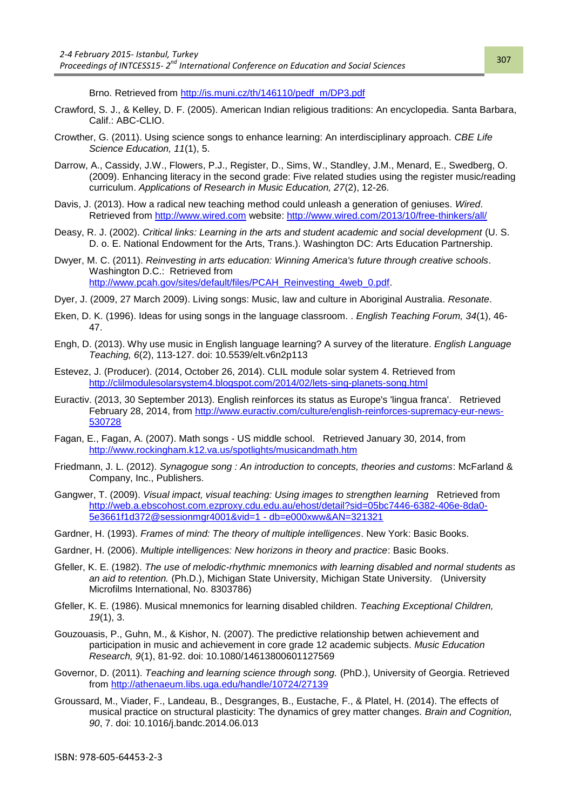Brno. Retrieved from [http://is.muni.cz/th/146110/pedf\\_m/DP3.pdf](http://is.muni.cz/th/146110/pedf_m/DP3.pdf) 

- Crawford, S. J., & Kelley, D. F. (2005). American Indian religious traditions: An encyclopedia. Santa Barbara, Calif.: ABC-CLIO.
- Crowther, G. (2011). Using science songs to enhance learning: An interdisciplinary approach. *CBE Life Science Education, 11*(1), 5.
- Darrow, A., Cassidy, J.W., Flowers, P.J., Register, D., Sims, W., Standley, J.M., Menard, E., Swedberg, O. (2009). Enhancing literacy in the second grade: Five related studies using the register music/reading curriculum. *Applications of Research in Music Education, 27*(2), 12-26.
- Davis, J. (2013). How a radical new teaching method could unleash a generation of geniuses. *Wired*. Retrieved from [http://www.wired.com](http://www.wired.com/) website:<http://www.wired.com/2013/10/free-thinkers/all/>
- Deasy, R. J. (2002). *Critical links: Learning in the arts and student academic and social development* (U. S. D. o. E. National Endowment for the Arts, Trans.). Washington DC: Arts Education Partnership.
- Dwyer, M. C. (2011). *Reinvesting in arts education: Winning America's future through creative schools*. Washington D.C.: Retrieved from [http://www.pcah.gov/sites/default/files/PCAH\\_Reinvesting\\_4web\\_0.pdf.](http://www.pcah.gov/sites/default/files/PCAH_Reinvesting_4web_0.pdf)
- Dyer, J. (2009, 27 March 2009). Living songs: Music, law and culture in Aboriginal Australia. *Resonate*.
- Eken, D. K. (1996). Ideas for using songs in the language classroom. . *English Teaching Forum, 34*(1), 46- 47.
- Engh, D. (2013). Why use music in English language learning? A survey of the literature. *English Language Teaching, 6*(2), 113-127. doi: 10.5539/elt.v6n2p113
- Estevez, J. (Producer). (2014, October 26, 2014). CLIL module solar system 4. Retrieved from <http://clilmodulesolarsystem4.blogspot.com/2014/02/lets-sing-planets-song.html>
- Euractiv. (2013, 30 September 2013). English reinforces its status as Europe's 'lingua franca'. Retrieved February 28, 2014, from [http://www.euractiv.com/culture/english-reinforces-supremacy-eur-news-](http://www.euractiv.com/culture/english-reinforces-supremacy-eur-news-530728)[530728](http://www.euractiv.com/culture/english-reinforces-supremacy-eur-news-530728)
- Fagan, E., Fagan, A. (2007). Math songs US middle school. Retrieved January 30, 2014, from <http://www.rockingham.k12.va.us/spotlights/musicandmath.htm>
- Friedmann, J. L. (2012). *Synagogue song : An introduction to concepts, theories and customs*: McFarland & Company, Inc., Publishers.
- Gangwer, T. (2009). *Visual impact, visual teaching: Using images to strengthen learning* Retrieved from [http://web.a.ebscohost.com.ezproxy.cdu.edu.au/ehost/detail?sid=05bc7446-6382-406e-8da0-](http://web.a.ebscohost.com.ezproxy.cdu.edu.au/ehost/detail?sid=05bc7446-6382-406e-8da0-5e3661f1d372@sessionmgr4001&vid=1#db=e000xww&AN=321321) [5e3661f1d372@sessionmgr4001&vid=1 -](http://web.a.ebscohost.com.ezproxy.cdu.edu.au/ehost/detail?sid=05bc7446-6382-406e-8da0-5e3661f1d372@sessionmgr4001&vid=1#db=e000xww&AN=321321) db=e000xww&AN=321321
- Gardner, H. (1993). *Frames of mind: The theory of multiple intelligences*. New York: Basic Books.
- Gardner, H. (2006). *Multiple intelligences: New horizons in theory and practice*: Basic Books.
- Gfeller, K. E. (1982). *The use of melodic-rhythmic mnemonics with learning disabled and normal students as an aid to retention.* (Ph.D.), Michigan State University, Michigan State University. (University Microfilms International, No. 8303786)
- Gfeller, K. E. (1986). Musical mnemonics for learning disabled children. *Teaching Exceptional Children, 19*(1), 3.
- Gouzouasis, P., Guhn, M., & Kishor, N. (2007). The predictive relationship betwen achievement and participation in music and achievement in core grade 12 academic subjects. *Music Education Research, 9*(1), 81-92. doi: 10.1080/14613800601127569
- Governor, D. (2011). *Teaching and learning science through song.* (PhD.), University of Georgia. Retrieved from<http://athenaeum.libs.uga.edu/handle/10724/27139>
- Groussard, M., Viader, F., Landeau, B., Desgranges, B., Eustache, F., & Platel, H. (2014). The effects of musical practice on structural plasticity: The dynamics of grey matter changes. *Brain and Cognition, 90*, 7. doi: 10.1016/j.bandc.2014.06.013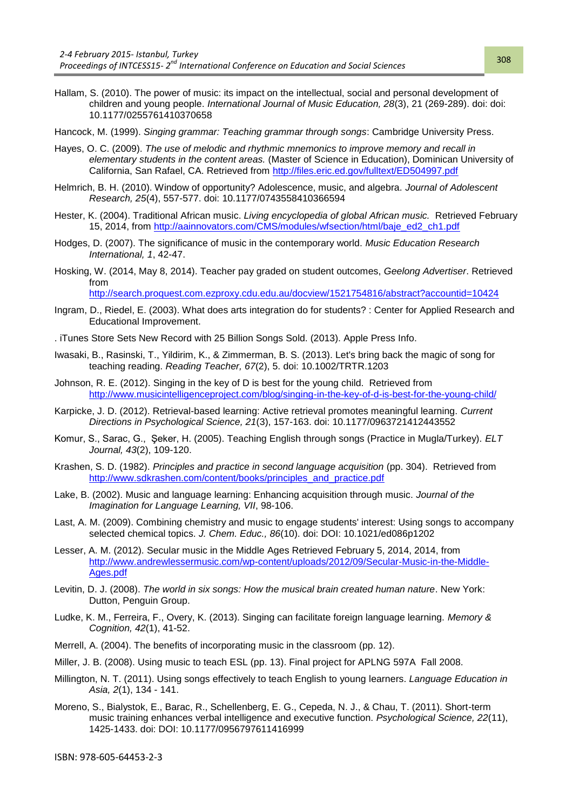- Hallam, S. (2010). The power of music: its impact on the intellectual, social and personal development of children and young people. *International Journal of Music Education, 28*(3), 21 (269-289). doi: doi: 10.1177/0255761410370658
- Hancock, M. (1999). *Singing grammar: Teaching grammar through songs*: Cambridge University Press.
- Hayes, O. C. (2009). *The use of melodic and rhythmic mnemonics to improve memory and recall in elementary students in the content areas.* (Master of Science in Education), Dominican University of California, San Rafael, CA. Retrieved from<http://files.eric.ed.gov/fulltext/ED504997.pdf>
- Helmrich, B. H. (2010). Window of opportunity? Adolescence, music, and algebra. *Journal of Adolescent Research, 25*(4), 557-577. doi: 10.1177/0743558410366594
- Hester, K. (2004). Traditional African music. *Living encyclopedia of global African music.* Retrieved February 15, 2014, from [http://aainnovators.com/CMS/modules/wfsection/html/baje\\_ed2\\_ch1.pdf](http://aainnovators.com/CMS/modules/wfsection/html/baje_ed2_ch1.pdf)
- Hodges, D. (2007). The significance of music in the contemporary world. *Music Education Research International, 1*, 42-47.
- Hosking, W. (2014, May 8, 2014). Teacher pay graded on student outcomes, *Geelong Advertiser*. Retrieved from

<http://search.proquest.com.ezproxy.cdu.edu.au/docview/1521754816/abstract?accountid=10424>

- Ingram, D., Riedel, E. (2003). What does arts integration do for students? : Center for Applied Research and Educational Improvement.
- . iTunes Store Sets New Record with 25 Billion Songs Sold. (2013). Apple Press Info.
- Iwasaki, B., Rasinski, T., Yildirim, K., & Zimmerman, B. S. (2013). Let's bring back the magic of song for teaching reading. *Reading Teacher, 67*(2), 5. doi: 10.1002/TRTR.1203
- Johnson, R. E. (2012). Singing in the key of D is best for the young child. Retrieved from <http://www.musicintelligenceproject.com/blog/singing-in-the-key-of-d-is-best-for-the-young-child/>
- Karpicke, J. D. (2012). Retrieval-based learning: Active retrieval promotes meaningful learning. *Current Directions in Psychological Science, 21*(3), 157-163. doi: 10.1177/0963721412443552
- Komur, S., Sarac, G., eker, H. (2005). Teaching English through songs (Practice in Mugla/Turkey). *ELT Journal, 43*(2), 109-120.
- Krashen, S. D. (1982). *Principles and practice in second language acquisition* (pp. 304). Retrieved from [http://www.sdkrashen.com/content/books/principles\\_and\\_practice.pdf](http://www.sdkrashen.com/content/books/principles_and_practice.pdf)
- Lake, B. (2002). Music and language learning: Enhancing acquisition through music. *Journal of the Imagination for Language Learning, VII*, 98-106.
- Last, A. M. (2009). Combining chemistry and music to engage students' interest: Using songs to accompany selected chemical topics. *J. Chem. Educ., 86*(10). doi: DOI: 10.1021/ed086p1202
- Lesser, A. M. (2012). Secular music in the Middle Ages Retrieved February 5, 2014, 2014, from [http://www.andrewlessermusic.com/wp-content/uploads/2012/09/Secular-Music-in-the-Middle-](http://www.andrewlessermusic.com/wp-content/uploads/2012/09/Secular-Music-in-the-Middle-Ages.pdf)[Ages.pdf](http://www.andrewlessermusic.com/wp-content/uploads/2012/09/Secular-Music-in-the-Middle-Ages.pdf)
- Levitin, D. J. (2008). *The world in six songs: How the musical brain created human nature*. New York: Dutton, Penguin Group.
- Ludke, K. M., Ferreira, F., Overy, K. (2013). Singing can facilitate foreign language learning. *Memory & Cognition, 42*(1), 41-52.
- Merrell, A. (2004). The benefits of incorporating music in the classroom (pp. 12).
- Miller, J. B. (2008). Using music to teach ESL (pp. 13). Final project for APLNG 597A Fall 2008.
- Millington, N. T. (2011). Using songs effectively to teach English to young learners. *Language Education in Asia, 2*(1), 134 - 141.
- Moreno, S., Bialystok, E., Barac, R., Schellenberg, E. G., Cepeda, N. J., & Chau, T. (2011). Short-term music training enhances verbal intelligence and executive function. *Psychological Science, 22*(11), 1425-1433. doi: DOI: 10.1177/0956797611416999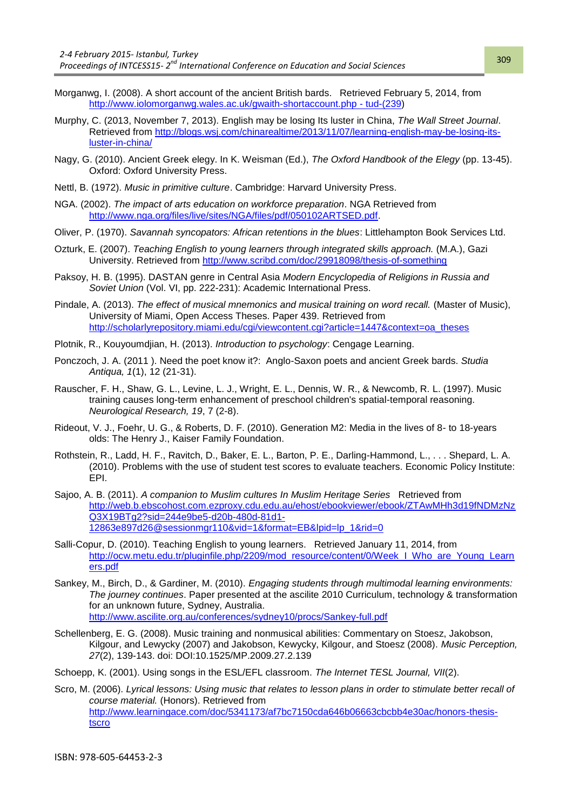- Morganwg, I. (2008). A short account of the ancient British bards. Retrieved February 5, 2014, from [http://www.iolomorganwg.wales.ac.uk/gwaith-shortaccount.php -](http://www.iolomorganwg.wales.ac.uk/gwaith-shortaccount.php#tud-(239) tud-(239)
- Murphy, C. (2013, November 7, 2013). English may be losing Its luster in China, *The Wall Street Journal*. Retrieved from [http://blogs.wsj.com/chinarealtime/2013/11/07/learning-english-may-be-losing-its](http://blogs.wsj.com/chinarealtime/2013/11/07/learning-english-may-be-losing-its-luster-in-china/)[luster-in-china/](http://blogs.wsj.com/chinarealtime/2013/11/07/learning-english-may-be-losing-its-luster-in-china/)
- Nagy, G. (2010). Ancient Greek elegy. In K. Weisman (Ed.), *The Oxford Handbook of the Elegy* (pp. 13-45). Oxford: Oxford University Press.
- Nettl, B. (1972). *Music in primitive culture*. Cambridge: Harvard University Press.
- NGA. (2002). *The impact of arts education on workforce preparation*. NGA Retrieved from [http://www.nga.org/files/live/sites/NGA/files/pdf/050102ARTSED.pdf.](http://www.nga.org/files/live/sites/NGA/files/pdf/050102ARTSED.pdf)
- Oliver, P. (1970). *Savannah syncopators: African retentions in the blues*: Littlehampton Book Services Ltd.
- Ozturk, E. (2007). *Teaching English to young learners through integrated skills approach.* (M.A.), Gazi University. Retrieved from<http://www.scribd.com/doc/29918098/thesis-of-something>
- Paksoy, H. B. (1995). DASTAN genre in Central Asia *Modern Encyclopedia of Religions in Russia and Soviet Union* (Vol. VI, pp. 222-231): Academic International Press.
- Pindale, A. (2013). *The effect of musical mnemonics and musical training on word recall.* (Master of Music), University of Miami, Open Access Theses. Paper 439. Retrieved from http://scholarlyrepository.miami.edu/cgi/viewcontent.cgi?article=1447&context=oa\_theses
- Plotnik, R., Kouyoumdjian, H. (2013). *Introduction to psychology*: Cengage Learning.
- Ponczoch, J. A. (2011 ). Need the poet know it?: Anglo-Saxon poets and ancient Greek bards. *Studia Antiqua, 1*(1), 12 (21-31).
- Rauscher, F. H., Shaw, G. L., Levine, L. J., Wright, E. L., Dennis, W. R., & Newcomb, R. L. (1997). Music training causes long-term enhancement of preschool children's spatial-temporal reasoning. *Neurological Research, 19*, 7 (2-8).
- Rideout, V. J., Foehr, U. G., & Roberts, D. F. (2010). Generation M2: Media in the lives of 8- to 18-years olds: The Henry J., Kaiser Family Foundation.
- Rothstein, R., Ladd, H. F., Ravitch, D., Baker, E. L., Barton, P. E., Darling-Hammond, L., . . . Shepard, L. A. (2010). Problems with the use of student test scores to evaluate teachers. Economic Policy Institute: EPI.
- Sajoo, A. B. (2011). *A companion to Muslim cultures In Muslim Heritage Series* Retrieved from [http://web.b.ebscohost.com.ezproxy.cdu.edu.au/ehost/ebookviewer/ebook/ZTAwMHh3d19fNDMzNz](http://web.b.ebscohost.com.ezproxy.cdu.edu.au/ehost/ebookviewer/ebook/ZTAwMHh3d19fNDMzNzQ3X19BTg2?sid=244e9be5-d20b-480d-81d1-12863e897d26@sessionmgr110&vid=1&format=EB&lpid=lp_1&rid=0) [Q3X19BTg2?sid=244e9be5-d20b-480d-81d1-](http://web.b.ebscohost.com.ezproxy.cdu.edu.au/ehost/ebookviewer/ebook/ZTAwMHh3d19fNDMzNzQ3X19BTg2?sid=244e9be5-d20b-480d-81d1-12863e897d26@sessionmgr110&vid=1&format=EB&lpid=lp_1&rid=0) [12863e897d26@sessionmgr110&vid=1&format=EB&lpid=lp\\_1&rid=0](http://web.b.ebscohost.com.ezproxy.cdu.edu.au/ehost/ebookviewer/ebook/ZTAwMHh3d19fNDMzNzQ3X19BTg2?sid=244e9be5-d20b-480d-81d1-12863e897d26@sessionmgr110&vid=1&format=EB&lpid=lp_1&rid=0)
- Salli-Copur, D. (2010). Teaching English to young learners. Retrieved January 11, 2014, from [http://ocw.metu.edu.tr/pluginfile.php/2209/mod\\_resource/content/0/Week\\_I\\_Who\\_are\\_Young\\_Learn](http://ocw.metu.edu.tr/pluginfile.php/2209/mod_resource/content/0/Week_I_Who_are_Young_Learners.pdf) [ers.pdf](http://ocw.metu.edu.tr/pluginfile.php/2209/mod_resource/content/0/Week_I_Who_are_Young_Learners.pdf)
- Sankey, M., Birch, D., & Gardiner, M. (2010). *Engaging students through multimodal learning environments: The journey continues*. Paper presented at the ascilite 2010 Curriculum, technology & transformation for an unknown future, Sydney, Australia. <http://www.ascilite.org.au/conferences/sydney10/procs/Sankey-full.pdf>
- Schellenberg, E. G. (2008). Music training and nonmusical abilities: Commentary on Stoesz, Jakobson, Kilgour, and Lewycky (2007) and Jakobson, Kewycky, Kilgour, and Stoesz (2008). *Music Perception, 27*(2), 139-143. doi: DOI:10.1525/MP.2009.27.2.139
- Schoepp, K. (2001). Using songs in the ESL/EFL classroom. *The Internet TESL Journal, VII*(2).
- Scro, M. (2006). *Lyrical lessons: Using music that relates to lesson plans in order to stimulate better recall of course material.* (Honors). Retrieved from [http://www.learningace.com/doc/5341173/af7bc7150cda646b06663cbcbb4e30ac/honors-thesis](http://www.learningace.com/doc/5341173/af7bc7150cda646b06663cbcbb4e30ac/honors-thesis-tscro)[tscro](http://www.learningace.com/doc/5341173/af7bc7150cda646b06663cbcbb4e30ac/honors-thesis-tscro)